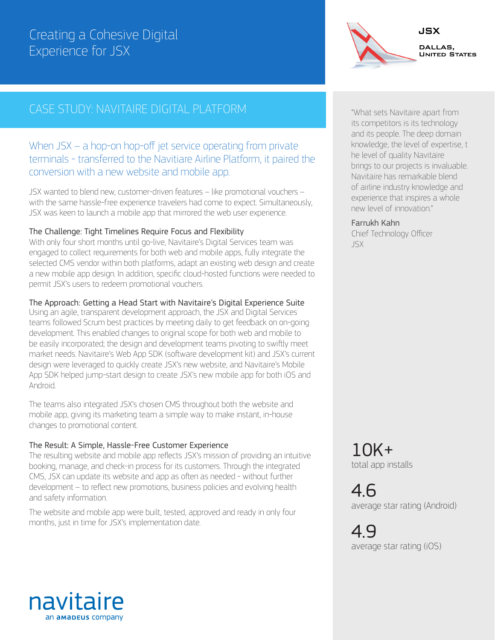# Creating a Cohesive Digital Experience for JSX

## CASE STUDY: NAVITAIRE DIGITAL PLATFORM

### When JSX – a hop-on hop-off jet service operating from private terminals - transferred to the Navitiare Airline Platform, it paired the conversion with a new website and mobile app.

JSX wanted to blend new, customer-driven features – like promotional vouchers – with the same hassle-free experience travelers had come to expect. Simultaneously, JSX was keen to launch a mobile app that mirrored the web user experience.

#### The Challenge: Tight Timelines Require Focus and Flexibility

With only four short months until go-live, Navitaire's Digital Services team was engaged to collect requirements for both web and mobile apps, fully integrate the selected CMS vendor within both platforms, adapt an existing web design and create a new mobile app design. In addition, specific cloud-hosted functions were needed to permit JSX's users to redeem promotional vouchers.

#### The Approach: Getting a Head Start with Navitaire's Digital Experience Suite

Using an agile, transparent development approach, the JSX and Digital Services teams followed Scrum best practices by meeting daily to get feedback on on-going development. This enabled changes to original scope for both web and mobile to be easily incorporated; the design and development teams pivoting to swiftly meet market needs. Navitaire's Web App SDK (software development kit) and JSX's current design were leveraged to quickly create JSX's new website, and Navitaire's Mobile App SDK helped jump-start design to create JSX's new mobile app for both iOS and Android.

The teams also integrated JSX's chosen CMS throughout both the website and mobile app, giving its marketing team a simple way to make instant, in-house changes to promotional content.

#### The Result: A Simple, Hassle-Free Customer Experience

The resulting website and mobile app reflects JSX's mission of providing an intuitive booking, manage, and check-in process for its customers. Through the integrated CMS, JSX can update its website and app as often as needed - without further development – to reflect new promotions, business policies and evolving health and safety information.

The website and mobile app were built, tested, approved and ready in only four months, just in time for JSX's implementation date.



JSX

DALLAS, **UNITED STATES** 

#### Farrukh Kahn

Chief Technology Officer JSX

10K+ total app installs

4.6 average star rating (Android)

4.9 average star rating (iOS)